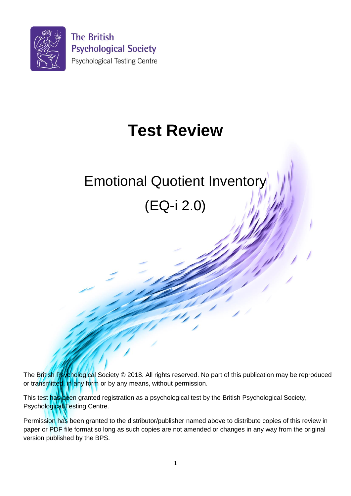

# **Test Review**

# Emotional Quotient Inventory

(EQ-i 2.0)

The British Psychological Society © 2018. All rights reserved. No part of this publication may be reproduced or transmitted, in any form or by any means, without permission.

This test has been granted registration as a psychological test by the British Psychological Society, Psychological Testing Centre.

Permission has been granted to the distributor/publisher named above to distribute copies of this review in paper or PDF file format so long as such copies are not amended or changes in any way from the original version published by the BPS.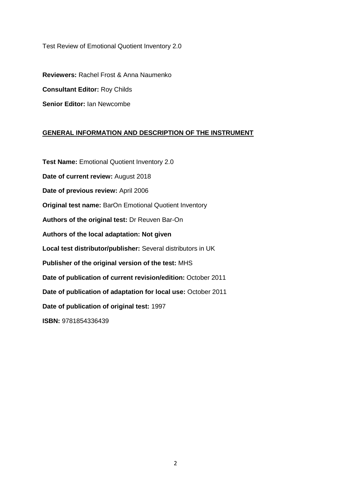#### Test Review of Emotional Quotient Inventory 2.0

**Reviewers:** Rachel Frost & Anna Naumenko **Consultant Editor:** Roy Childs **Senior Editor:** Ian Newcombe

## **GENERAL INFORMATION AND DESCRIPTION OF THE INSTRUMENT**

**Test Name:** Emotional Quotient Inventory 2.0 **Date of current review:** August 2018 **Date of previous review:** April 2006 **Original test name:** BarOn Emotional Quotient Inventory **Authors of the original test:** Dr Reuven Bar-On **Authors of the local adaptation: Not given Local test distributor/publisher:** Several distributors in UK **Publisher of the original version of the test:** MHS **Date of publication of current revision/edition:** October 2011 **Date of publication of adaptation for local use:** October 2011 **Date of publication of original test:** 1997 **ISBN:** 9781854336439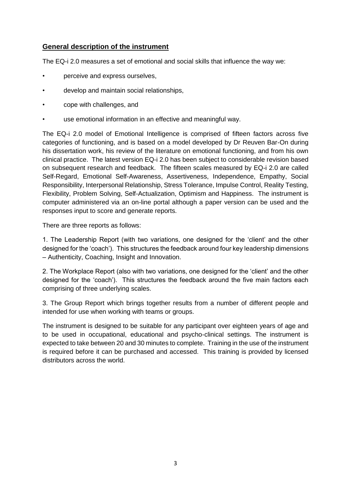## **General description of the instrument**

The EQ-i 2.0 measures a set of emotional and social skills that influence the way we:

- perceive and express ourselves,
- develop and maintain social relationships,
- cope with challenges, and
- use emotional information in an effective and meaningful way.

The EQ-i 2.0 model of Emotional Intelligence is comprised of fifteen factors across five categories of functioning, and is based on a model developed by Dr Reuven Bar-On during his dissertation work, his review of the literature on emotional functioning, and from his own clinical practice. The latest version EQ-i 2.0 has been subject to considerable revision based on subsequent research and feedback. The fifteen scales measured by EQ-i 2.0 are called Self-Regard, Emotional Self-Awareness, Assertiveness, Independence, Empathy, Social Responsibility, Interpersonal Relationship, Stress Tolerance, Impulse Control, Reality Testing, Flexibility, Problem Solving, Self-Actualization, Optimism and Happiness. The instrument is computer administered via an on-line portal although a paper version can be used and the responses input to score and generate reports.

There are three reports as follows:

1. The Leadership Report (with two variations, one designed for the 'client' and the other designed for the 'coach'). This structures the feedback around four key leadership dimensions – Authenticity, Coaching, Insight and Innovation.

2. The Workplace Report (also with two variations, one designed for the 'client' and the other designed for the 'coach'). This structures the feedback around the five main factors each comprising of three underlying scales.

3. The Group Report which brings together results from a number of different people and intended for use when working with teams or groups.

The instrument is designed to be suitable for any participant over eighteen years of age and to be used in occupational, educational and psycho-clinical settings. The instrument is expected to take between 20 and 30 minutes to complete. Training in the use of the instrument is required before it can be purchased and accessed. This training is provided by licensed distributors across the world.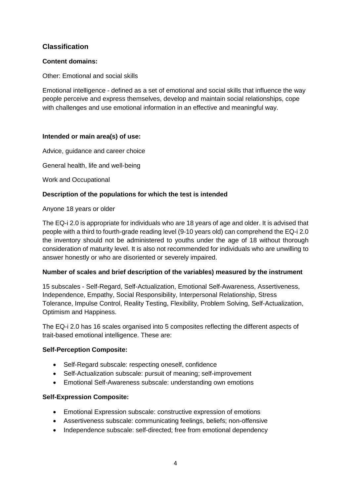## **Classification**

## **Content domains:**

Other: Emotional and social skills

Emotional intelligence - defined as a set of emotional and social skills that influence the way people perceive and express themselves, develop and maintain social relationships, cope with challenges and use emotional information in an effective and meaningful way.

## **Intended or main area(s) of use:**

Advice, guidance and career choice

General health, life and well-being

Work and Occupational

## **Description of the populations for which the test is intended**

Anyone 18 years or older

The EQ-i 2.0 is appropriate for individuals who are 18 years of age and older. It is advised that people with a third to fourth-grade reading level (9-10 years old) can comprehend the EQ-i 2.0 the inventory should not be administered to youths under the age of 18 without thorough consideration of maturity level. It is also not recommended for individuals who are unwilling to answer honestly or who are disoriented or severely impaired.

## **Number of scales and brief description of the variables) measured by the instrument**

15 subscales - Self-Regard, Self-Actualization, Emotional Self-Awareness, Assertiveness, Independence, Empathy, Social Responsibility, Interpersonal Relationship, Stress Tolerance, Impulse Control, Reality Testing, Flexibility, Problem Solving, Self-Actualization, Optimism and Happiness.

The EQ-i 2.0 has 16 scales organised into 5 composites reflecting the different aspects of trait-based emotional intelligence. These are:

## **Self-Perception Composite:**

- Self-Regard subscale: respecting oneself, confidence
- Self-Actualization subscale: pursuit of meaning; self-improvement
- Emotional Self-Awareness subscale: understanding own emotions

## **Self-Expression Composite:**

- Emotional Expression subscale: constructive expression of emotions
- Assertiveness subscale: communicating feelings, beliefs; non-offensive
- Independence subscale: self-directed; free from emotional dependency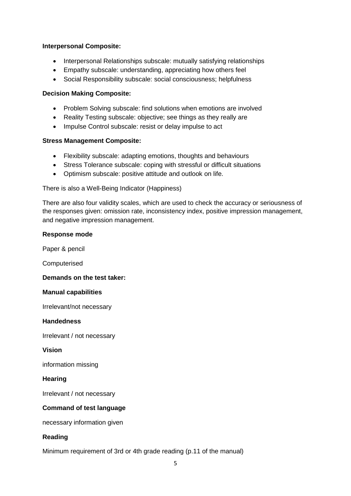### **Interpersonal Composite:**

- Interpersonal Relationships subscale: mutually satisfying relationships
- Empathy subscale: understanding, appreciating how others feel
- Social Responsibility subscale: social consciousness; helpfulness

## **Decision Making Composite:**

- Problem Solving subscale: find solutions when emotions are involved
- Reality Testing subscale: objective; see things as they really are
- Impulse Control subscale: resist or delay impulse to act

## **Stress Management Composite:**

- Flexibility subscale: adapting emotions, thoughts and behaviours
- Stress Tolerance subscale: coping with stressful or difficult situations
- Optimism subscale: positive attitude and outlook on life.

There is also a Well-Being Indicator (Happiness)

There are also four validity scales, which are used to check the accuracy or seriousness of the responses given: omission rate, inconsistency index, positive impression management, and negative impression management.

#### **Response mode**

Paper & pencil

Computerised

## **Demands on the test taker:**

#### **Manual capabilities**

Irrelevant/not necessary

#### **Handedness**

Irrelevant / not necessary

#### **Vision**

information missing

#### **Hearing**

Irrelevant / not necessary

## **Command of test language**

necessary information given

## **Reading**

Minimum requirement of 3rd or 4th grade reading (p.11 of the manual)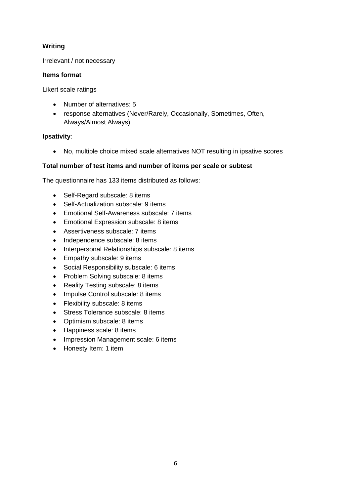## **Writing**

## Irrelevant / not necessary

## **Items format**

Likert scale ratings

- Number of alternatives: 5
- response alternatives (Never/Rarely, Occasionally, Sometimes, Often, Always/Almost Always)

## **Ipsativity**:

No, multiple choice mixed scale alternatives NOT resulting in ipsative scores

## **Total number of test items and number of items per scale or subtest**

The questionnaire has 133 items distributed as follows:

- Self-Regard subscale: 8 items
- Self-Actualization subscale: 9 items
- Emotional Self-Awareness subscale: 7 items
- **Emotional Expression subscale: 8 items**
- Assertiveness subscale: 7 items
- Independence subscale: 8 items
- Interpersonal Relationships subscale: 8 items
- Empathy subscale: 9 items
- Social Responsibility subscale: 6 items
- Problem Solving subscale: 8 items
- Reality Testing subscale: 8 items
- Impulse Control subscale: 8 items
- Flexibility subscale: 8 items
- Stress Tolerance subscale: 8 items
- Optimism subscale: 8 items
- Happiness scale: 8 items
- Impression Management scale: 6 items
- Honesty Item: 1 item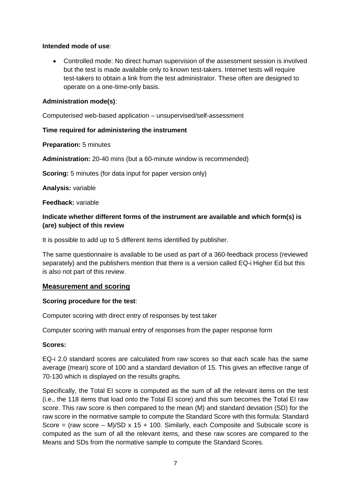## **Intended mode of use**:

 Controlled mode: No direct human supervision of the assessment session is involved but the test is made available only to known test-takers. Internet tests will require test-takers to obtain a link from the test administrator. These often are designed to operate on a one-time-only basis.

## **Administration mode(s)**:

Computerised web-based application – unsupervised/self-assessment

## **Time required for administering the instrument**

**Preparation:** 5 minutes

**Administration:** 20-40 mins (but a 60-minute window is recommended)

**Scoring:** 5 minutes (for data input for paper version only)

**Analysis:** variable

**Feedback:** variable

## **Indicate whether different forms of the instrument are available and which form(s) is (are) subject of this review**

It is possible to add up to 5 different items identified by publisher.

The same questionnaire is available to be used as part of a 360-feedback process (reviewed separately) and the publishers mention that there is a version called EQ-i Higher Ed but this is also not part of this review.

## **Measurement and scoring**

## **Scoring procedure for the test**:

Computer scoring with direct entry of responses by test taker

Computer scoring with manual entry of responses from the paper response form

## **Scores:**

EQ-i 2.0 standard scores are calculated from raw scores so that each scale has the same average (mean) score of 100 and a standard deviation of 15. This gives an effective range of 70-130 which is displayed on the results graphs.

Specifically, the Total EI score is computed as the sum of all the relevant items on the test (i.e., the 118 items that load onto the Total EI score) and this sum becomes the Total EI raw score. This raw score is then compared to the mean (M) and standard deviation (SD) for the raw score in the normative sample to compute the Standard Score with this formula: Standard Score = (raw score  $-$  M)/SD x 15 + 100. Similarly, each Composite and Subscale score is computed as the sum of all the relevant items, and these raw scores are compared to the Means and SDs from the normative sample to compute the Standard Scores.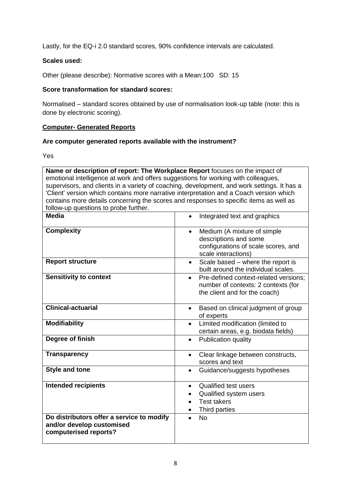Lastly, for the EQ-i 2.0 standard scores, 90% confidence intervals are calculated.

## **Scales used:**

Other (please describe): Normative scores with a Mean:100 SD: 15

## **Score transformation for standard scores:**

Normalised – standard scores obtained by use of normalisation look-up table (note: this is done by electronic scoring).

## **Computer- Generated Reports**

## **Are computer generated reports available with the instrument?**

Yes

| Name or description of report: The Workplace Report focuses on the impact of                |                                                    |
|---------------------------------------------------------------------------------------------|----------------------------------------------------|
| emotional intelligence at work and offers suggestions for working with colleagues,          |                                                    |
| supervisors, and clients in a variety of coaching, development, and work settings. It has a |                                                    |
| 'Client' version which contains more narrative interpretation and a Coach version which     |                                                    |
| contains more details concerning the scores and responses to specific items as well as      |                                                    |
| follow-up questions to probe further.                                                       |                                                    |
| <b>Media</b>                                                                                | Integrated text and graphics<br>$\bullet$          |
| <b>Complexity</b>                                                                           | Medium (A mixture of simple<br>$\bullet$           |
|                                                                                             | descriptions and some                              |
|                                                                                             | configurations of scale scores, and                |
|                                                                                             | scale interactions)                                |
| <b>Report structure</b>                                                                     | Scale based - where the report is<br>$\bullet$     |
|                                                                                             | built around the individual scales.                |
| <b>Sensitivity to context</b>                                                               | Pre-defined context-related versions;<br>$\bullet$ |
|                                                                                             | number of contexts: 2 contexts (for                |
|                                                                                             | the client and for the coach)                      |
|                                                                                             |                                                    |
| <b>Clinical-actuarial</b>                                                                   | Based on clinical judgment of group<br>$\bullet$   |
|                                                                                             | of experts                                         |
| <b>Modifiability</b>                                                                        | Limited modification (limited to<br>$\bullet$      |
|                                                                                             | certain areas, e.g. biodata fields)                |
| Degree of finish                                                                            | Publication quality<br>$\bullet$                   |
|                                                                                             |                                                    |
| <b>Transparency</b>                                                                         | Clear linkage between constructs,<br>$\bullet$     |
|                                                                                             | scores and text                                    |
| <b>Style and tone</b>                                                                       | Guidance/suggests hypotheses<br>$\bullet$          |
|                                                                                             |                                                    |
| <b>Intended recipients</b>                                                                  | <b>Qualified test users</b><br>$\bullet$           |
|                                                                                             | Qualified system users<br>$\bullet$                |
|                                                                                             | <b>Test takers</b><br>$\bullet$                    |
|                                                                                             | Third parties                                      |
| Do distributors offer a service to modify                                                   | <b>No</b>                                          |
| and/or develop customised                                                                   |                                                    |
| computerised reports?                                                                       |                                                    |
|                                                                                             |                                                    |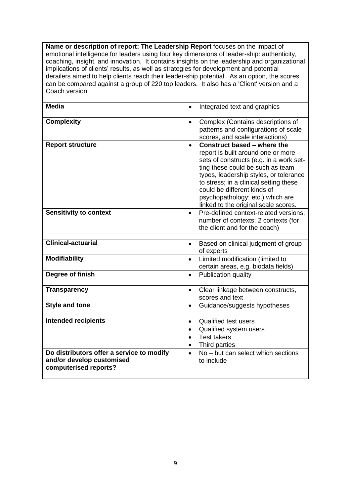**Name or description of report: The Leadership Report** focuses on the impact of emotional intelligence for leaders using four key dimensions of leader-ship: authenticity, coaching, insight, and innovation. It contains insights on the leadership and organizational implications of clients' results, as well as strategies for development and potential derailers aimed to help clients reach their leader-ship potential. As an option, the scores can be compared against a group of 220 top leaders. It also has a 'Client' version and a Coach version

| <b>Media</b>                                                                                    | Integrated text and graphics                                                                                                                                                                                                                                                                                                                    |
|-------------------------------------------------------------------------------------------------|-------------------------------------------------------------------------------------------------------------------------------------------------------------------------------------------------------------------------------------------------------------------------------------------------------------------------------------------------|
| <b>Complexity</b>                                                                               | Complex (Contains descriptions of<br>patterns and configurations of scale<br>scores, and scale interactions)                                                                                                                                                                                                                                    |
| <b>Report structure</b>                                                                         | Construct based – where the<br>report is built around one or more<br>sets of constructs (e.g. in a work set-<br>ting these could be such as team<br>types, leadership styles, or tolerance<br>to stress; in a clinical setting these<br>could be different kinds of<br>psychopathology; etc.) which are<br>linked to the original scale scores. |
| <b>Sensitivity to context</b>                                                                   | Pre-defined context-related versions;<br>$\bullet$<br>number of contexts: 2 contexts (for<br>the client and for the coach)                                                                                                                                                                                                                      |
| <b>Clinical-actuarial</b>                                                                       | Based on clinical judgment of group<br>$\bullet$<br>of experts                                                                                                                                                                                                                                                                                  |
| <b>Modifiability</b>                                                                            | Limited modification (limited to<br>$\bullet$<br>certain areas, e.g. biodata fields)                                                                                                                                                                                                                                                            |
| Degree of finish                                                                                | Publication quality<br>$\bullet$                                                                                                                                                                                                                                                                                                                |
| <b>Transparency</b>                                                                             | Clear linkage between constructs,<br>$\bullet$<br>scores and text                                                                                                                                                                                                                                                                               |
| <b>Style and tone</b>                                                                           | Guidance/suggests hypotheses<br>$\bullet$                                                                                                                                                                                                                                                                                                       |
| <b>Intended recipients</b>                                                                      | <b>Qualified test users</b><br>$\bullet$<br>Qualified system users<br>$\bullet$<br><b>Test takers</b><br>$\bullet$<br>Third parties                                                                                                                                                                                                             |
| Do distributors offer a service to modify<br>and/or develop customised<br>computerised reports? | No – but can select which sections<br>$\bullet$<br>to include                                                                                                                                                                                                                                                                                   |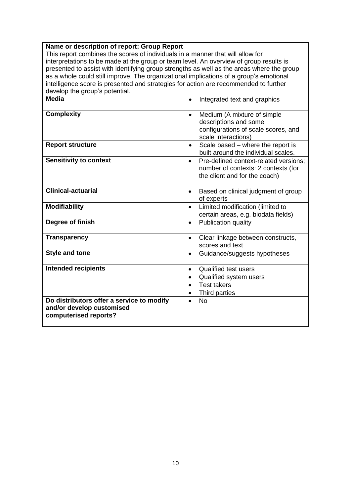#### **Name or description of report: Group Report**

This report combines the scores of individuals in a manner that will allow for interpretations to be made at the group or team level. An overview of group results is presented to assist with identifying group strengths as well as the areas where the group as a whole could still improve. The organizational implications of a group's emotional intelligence score is presented and strategies for action are recommended to further develop the group's potential.

| actorely the group of potentium.                   |                                                                                       |
|----------------------------------------------------|---------------------------------------------------------------------------------------|
| Media                                              | Integrated text and graphics                                                          |
| <b>Complexity</b>                                  | Medium (A mixture of simple<br>$\bullet$                                              |
|                                                    | descriptions and some                                                                 |
|                                                    | configurations of scale scores, and                                                   |
|                                                    | scale interactions)                                                                   |
| <b>Report structure</b>                            | Scale based - where the report is<br>$\bullet$<br>built around the individual scales. |
| <b>Sensitivity to context</b>                      | Pre-defined context-related versions;<br>$\bullet$                                    |
|                                                    | number of contexts: 2 contexts (for                                                   |
|                                                    | the client and for the coach)                                                         |
| <b>Clinical-actuarial</b>                          | Based on clinical judgment of group<br>$\bullet$                                      |
|                                                    | of experts                                                                            |
| <b>Modifiability</b>                               | Limited modification (limited to<br>$\bullet$                                         |
|                                                    | certain areas, e.g. biodata fields)                                                   |
| Degree of finish                                   | Publication quality<br>$\bullet$                                                      |
| <b>Transparency</b>                                | Clear linkage between constructs,<br>$\bullet$                                        |
|                                                    | scores and text                                                                       |
| <b>Style and tone</b>                              | Guidance/suggests hypotheses                                                          |
|                                                    |                                                                                       |
| <b>Intended recipients</b>                         | <b>Qualified test users</b><br>$\bullet$                                              |
|                                                    | Qualified system users                                                                |
|                                                    | <b>Test takers</b>                                                                    |
|                                                    | Third parties                                                                         |
| Do distributors offer a service to modify          | <b>No</b>                                                                             |
| and/or develop customised<br>computerised reports? |                                                                                       |
|                                                    |                                                                                       |
|                                                    |                                                                                       |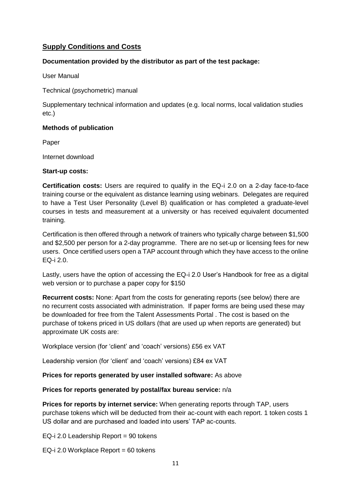## **Supply Conditions and Costs**

## **Documentation provided by the distributor as part of the test package:**

User Manual

Technical (psychometric) manual

Supplementary technical information and updates (e.g. local norms, local validation studies etc.)

## **Methods of publication**

Paper

Internet download

## **Start-up costs:**

**Certification costs:** Users are required to qualify in the EQ-i 2.0 on a 2-day face-to-face training course or the equivalent as distance learning using webinars. Delegates are required to have a Test User Personality (Level B) qualification or has completed a graduate-level courses in tests and measurement at a university or has received equivalent documented training.

Certification is then offered through a network of trainers who typically charge between \$1,500 and \$2,500 per person for a 2-day programme. There are no set-up or licensing fees for new users. Once certified users open a TAP account through which they have access to the online EQ-i 2.0.

Lastly, users have the option of accessing the EQ-i 2.0 User's Handbook for free as a digital web version or to purchase a paper copy for \$150

**Recurrent costs:** None: Apart from the costs for generating reports (see below) there are no recurrent costs associated with administration. If paper forms are being used these may be downloaded for free from the Talent Assessments Portal . The cost is based on the purchase of tokens priced in US dollars (that are used up when reports are generated) but approximate UK costs are:

Workplace version (for 'client' and 'coach' versions) £56 ex VAT

Leadership version (for 'client' and 'coach' versions) £84 ex VAT

## **Prices for reports generated by user installed software:** As above

## **Prices for reports generated by postal/fax bureau service:** n/a

**Prices for reports by internet service:** When generating reports through TAP, users purchase tokens which will be deducted from their ac-count with each report. 1 token costs 1 US dollar and are purchased and loaded into users' TAP ac-counts.

EQ-i 2.0 Leadership Report = 90 tokens

EQ-i 2.0 Workplace Report =  $60$  tokens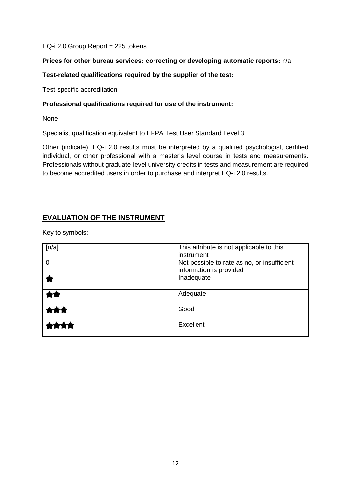#### EQ-i 2.0 Group Report = 225 tokens

## **Prices for other bureau services: correcting or developing automatic reports:** n/a

## **Test-related qualifications required by the supplier of the test:**

Test-specific accreditation

#### **Professional qualifications required for use of the instrument:**

None

Specialist qualification equivalent to EFPA Test User Standard Level 3

Other (indicate): EQ-i 2.0 results must be interpreted by a qualified psychologist, certified individual, or other professional with a master's level course in tests and measurements. Professionals without graduate-level university credits in tests and measurement are required to become accredited users in order to purchase and interpret EQ-i 2.0 results.

## **EVALUATION OF THE INSTRUMENT**

Key to symbols:

| [n/a]    | This attribute is not applicable to this<br>instrument                 |
|----------|------------------------------------------------------------------------|
| $\Omega$ | Not possible to rate as no, or insufficient<br>information is provided |
|          | Inadequate                                                             |
|          | Adequate                                                               |
|          | Good                                                                   |
|          | <b>Excellent</b>                                                       |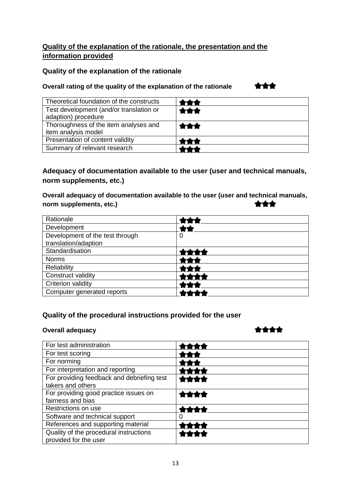# **Quality of the explanation of the rationale, the presentation and the information provided**

## **Quality of the explanation of the rationale**

## **Overall rating of the quality of the explanation of the rationale**

\*\*\*

| Theoretical foundation of the constructs                       | 791        |
|----------------------------------------------------------------|------------|
| Test development (and/or translation or<br>adaption) procedure | ★★★        |
| Thoroughness of the item analyses and<br>item analysis model   | <b>食食食</b> |
| Presentation of content validity                               | ***        |
| Summary of relevant research                                   |            |

# **Adequacy of documentation available to the user (user and technical manuals, norm supplements, etc.)**

**Overall adequacy of documentation available to the user (user and technical manuals,**  \*\*\* **norm supplements, etc.)**

| Rationale                       |   |
|---------------------------------|---|
| Development                     |   |
| Development of the test through | 0 |
| translation/adaption            |   |
| Standardisation                 |   |
| <b>Norms</b>                    |   |
| Reliability                     |   |
| Construct validity              |   |
| Criterion validity              |   |
| Computer generated reports      |   |

## **Quality of the procedural instructions provided for the user**

## **Overall adequacy**

# \*\*\*\*

| For test administration                                         |  |
|-----------------------------------------------------------------|--|
| For test scoring                                                |  |
| For norming                                                     |  |
| For interpretation and reporting                                |  |
| For providing feedback and debriefing test<br>takers and others |  |
| For providing good practice issues on<br>fairness and bias      |  |
| Restrictions on use                                             |  |
| Software and technical support                                  |  |
| References and supporting material                              |  |
| Quality of the procedural instructions<br>provided for the user |  |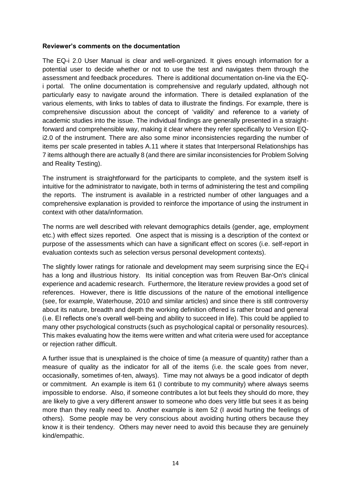#### **Reviewer's comments on the documentation**

The EQ-i 2.0 User Manual is clear and well-organized. It gives enough information for a potential user to decide whether or not to use the test and navigates them through the assessment and feedback procedures. There is additional documentation on-line via the EQi portal. The online documentation is comprehensive and regularly updated, although not particularly easy to navigate around the information. There is detailed explanation of the various elements, with links to tables of data to illustrate the findings. For example, there is comprehensive discussion about the concept of 'validity' and reference to a variety of academic studies into the issue. The individual findings are generally presented in a straightforward and comprehensible way, making it clear where they refer specifically to Version EQi2.0 of the instrument. There are also some minor inconsistencies regarding the number of items per scale presented in tables A.11 where it states that Interpersonal Relationships has 7 items although there are actually 8 (and there are similar inconsistencies for Problem Solving and Reality Testing).

The instrument is straightforward for the participants to complete, and the system itself is intuitive for the administrator to navigate, both in terms of administering the test and compiling the reports. The instrument is available in a restricted number of other languages and a comprehensive explanation is provided to reinforce the importance of using the instrument in context with other data/information.

The norms are well described with relevant demographics details (gender, age, employment etc.) with effect sizes reported. One aspect that is missing is a description of the context or purpose of the assessments which can have a significant effect on scores (i.e. self-report in evaluation contexts such as selection versus personal development contexts).

The slightly lower ratings for rationale and development may seem surprising since the EQ-i has a long and illustrious history. Its initial conception was from Reuven Bar-On's clinical experience and academic research. Furthermore, the literature review provides a good set of references. However, there is little discussions of the nature of the emotional intelligence (see, for example, Waterhouse, 2010 and similar articles) and since there is still controversy about its nature, breadth and depth the working definition offered is rather broad and general (i.e. EI reflects one's overall well-being and ability to succeed in life). This could be applied to many other psychological constructs (such as psychological capital or personality resources). This makes evaluating how the items were written and what criteria were used for acceptance or rejection rather difficult.

A further issue that is unexplained is the choice of time (a measure of quantity) rather than a measure of quality as the indicator for all of the items (i.e. the scale goes from never, occasionally, sometimes of-ten, always). Time may not always be a good indicator of depth or commitment. An example is item 61 (I contribute to my community) where always seems impossible to endorse. Also, if someone contributes a lot but feels they should do more, they are likely to give a very different answer to someone who does very little but sees it as being more than they really need to. Another example is item 52 (I avoid hurting the feelings of others). Some people may be very conscious about avoiding hurting others because they know it is their tendency. Others may never need to avoid this because they are genuinely kind/empathic.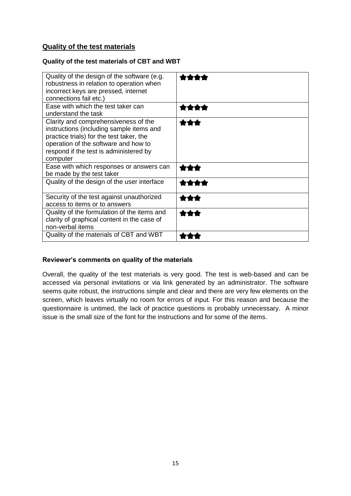## **Quality of the test materials**

## **Quality of the test materials of CBT and WBT**

| Quality of the design of the software (e.g.<br>robustness in relation to operation when<br>incorrect keys are pressed, internet<br>connections fail etc.)                                                                  |  |
|----------------------------------------------------------------------------------------------------------------------------------------------------------------------------------------------------------------------------|--|
| Ease with which the test taker can<br>understand the task                                                                                                                                                                  |  |
| Clarity and comprehensiveness of the<br>instructions (including sample items and<br>practice trials) for the test taker, the<br>operation of the software and how to<br>respond if the test is administered by<br>computer |  |
| Ease with which responses or answers can<br>be made by the test taker                                                                                                                                                      |  |
| Quality of the design of the user interface                                                                                                                                                                                |  |
| Security of the test against unauthorized<br>access to items or to answers                                                                                                                                                 |  |
| Quality of the formulation of the items and<br>clarity of graphical content in the case of<br>non-verbal items                                                                                                             |  |
| Quality of the materials of CBT and WBT                                                                                                                                                                                    |  |

## **Reviewer's comments on quality of the materials**

Overall, the quality of the test materials is very good. The test is web-based and can be accessed via personal invitations or via link generated by an administrator. The software seems quite robust, the instructions simple and clear and there are very few elements on the screen, which leaves virtually no room for errors of input. For this reason and because the questionnaire is untimed, the lack of practice questions is probably unnecessary. A minor issue is the small size of the font for the instructions and for some of the items.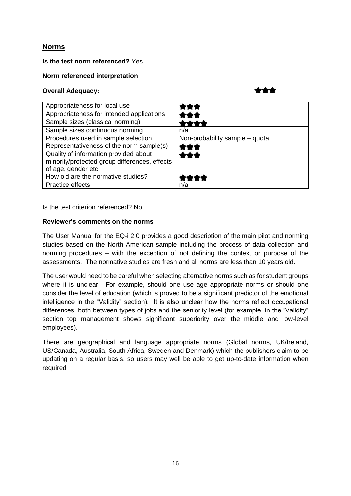## **Norms**

## **Is the test norm referenced?** Yes

## **Norm referenced interpretation**

#### **Overall Adequacy:**

```
***
```

| Appropriateness for local use                                                          |                                |
|----------------------------------------------------------------------------------------|--------------------------------|
| Appropriateness for intended applications                                              |                                |
| Sample sizes (classical norming)                                                       |                                |
| Sample sizes continuous norming                                                        | n/a                            |
| Procedures used in sample selection                                                    | Non-probability sample - quota |
| Representativeness of the norm sample(s)                                               |                                |
| Quality of information provided about<br>minority/protected group differences, effects | ***                            |
| of age, gender etc.                                                                    |                                |
| How old are the normative studies?                                                     |                                |
| Practice effects                                                                       | n/a                            |

Is the test criterion referenced? No

## **Reviewer's comments on the norms**

The User Manual for the EQ-i 2.0 provides a good description of the main pilot and norming studies based on the North American sample including the process of data collection and norming procedures – with the exception of not defining the context or purpose of the assessments. The normative studies are fresh and all norms are less than 10 years old.

The user would need to be careful when selecting alternative norms such as for student groups where it is unclear. For example, should one use age appropriate norms or should one consider the level of education (which is proved to be a significant predictor of the emotional intelligence in the "Validity" section). It is also unclear how the norms reflect occupational differences, both between types of jobs and the seniority level (for example, in the "Validity" section top management shows significant superiority over the middle and low-level employees).

There are geographical and language appropriate norms (Global norms, UK/Ireland, US/Canada, Australia, South Africa, Sweden and Denmark) which the publishers claim to be updating on a regular basis, so users may well be able to get up-to-date information when required.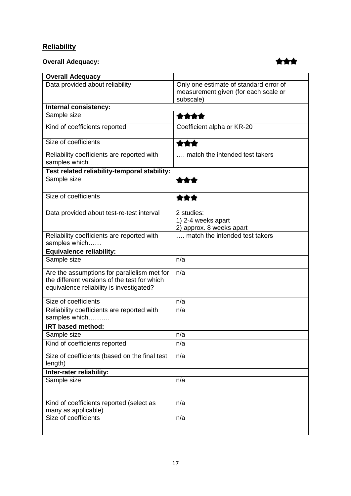# **Reliability**

# **Overall Adequacy:**



| <b>Overall Adequacy</b>                                                                                                                 |                                                                                             |
|-----------------------------------------------------------------------------------------------------------------------------------------|---------------------------------------------------------------------------------------------|
| Data provided about reliability                                                                                                         | Only one estimate of standard error of<br>measurement given (for each scale or<br>subscale) |
| Internal consistency:                                                                                                                   |                                                                                             |
| Sample size                                                                                                                             | ****                                                                                        |
| Kind of coefficients reported                                                                                                           | Coefficient alpha or KR-20                                                                  |
| Size of coefficients                                                                                                                    | ***                                                                                         |
| Reliability coefficients are reported with<br>samples which                                                                             | match the intended test takers                                                              |
| Test related reliability-temporal stability:                                                                                            |                                                                                             |
| Sample size                                                                                                                             | ***                                                                                         |
| Size of coefficients                                                                                                                    |                                                                                             |
| Data provided about test-re-test interval                                                                                               | 2 studies:<br>1) 2-4 weeks apart<br>2) approx. 8 weeks apart                                |
| Reliability coefficients are reported with<br>samples which                                                                             | , match the intended test takers                                                            |
| <b>Equivalence reliability:</b>                                                                                                         |                                                                                             |
| Sample size                                                                                                                             | n/a                                                                                         |
| Are the assumptions for parallelism met for<br>the different versions of the test for which<br>equivalence reliability is investigated? | n/a                                                                                         |
| Size of coefficients                                                                                                                    | n/a                                                                                         |
| Reliability coefficients are reported with<br>samples which                                                                             | n/a                                                                                         |
| <b>IRT based method:</b>                                                                                                                |                                                                                             |
| Sample size                                                                                                                             | n/a                                                                                         |
| Kind of coefficients reported                                                                                                           | n/a                                                                                         |
| Size of coefficients (based on the final test<br>length)                                                                                | n/a                                                                                         |
| Inter-rater reliability:                                                                                                                |                                                                                             |
| Sample size                                                                                                                             | n/a                                                                                         |
| Kind of coefficients reported (select as<br>many as applicable)                                                                         | n/a                                                                                         |
| Size of coefficients                                                                                                                    | n/a                                                                                         |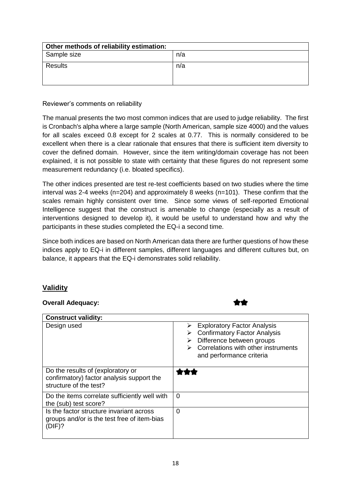| Other methods of reliability estimation: |     |
|------------------------------------------|-----|
| Sample size                              | n/a |
| Results                                  | n/a |
|                                          |     |

Reviewer's comments on reliability

The manual presents the two most common indices that are used to judge reliability. The first is Cronbach's alpha where a large sample (North American, sample size 4000) and the values for all scales exceed 0.8 except for 2 scales at 0.77. This is normally considered to be excellent when there is a clear rationale that ensures that there is sufficient item diversity to cover the defined domain. However, since the item writing/domain coverage has not been explained, it is not possible to state with certainty that these figures do not represent some measurement redundancy (i.e. bloated specifics).

The other indices presented are test re-test coefficients based on two studies where the time interval was 2-4 weeks (n=204) and approximately 8 weeks (n=101). These confirm that the scales remain highly consistent over time. Since some views of self-reported Emotional Intelligence suggest that the construct is amenable to change (especially as a result of interventions designed to develop it), it would be useful to understand how and why the participants in these studies completed the EQ-i a second time.

Since both indices are based on North American data there are further questions of how these indices apply to EQ-i in different samples, different languages and different cultures but, on balance, it appears that the EQ-i demonstrates solid reliability.

## **Validity**

## **Overall Adequacy:**

| <b>Construct validity:</b>                                                                               |                                                                                                                                                                                                 |
|----------------------------------------------------------------------------------------------------------|-------------------------------------------------------------------------------------------------------------------------------------------------------------------------------------------------|
| Design used                                                                                              | <b>Exploratory Factor Analysis</b><br>➤<br><b>Confirmatory Factor Analysis</b><br>Difference between groups<br>$\triangleright$ Correlations with other instruments<br>and performance criteria |
| Do the results of (exploratory or<br>confirmatory) factor analysis support the<br>structure of the test? |                                                                                                                                                                                                 |
| Do the items correlate sufficiently well with<br>the (sub) test score?                                   | $\Omega$                                                                                                                                                                                        |
| Is the factor structure invariant across<br>groups and/or is the test free of item-bias<br>(DIF)?        | 0                                                                                                                                                                                               |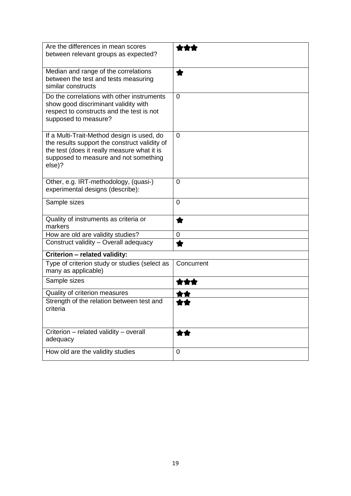| Are the differences in mean scores<br>between relevant groups as expected?                                                                                                                    |                |
|-----------------------------------------------------------------------------------------------------------------------------------------------------------------------------------------------|----------------|
| Median and range of the correlations<br>between the test and tests measuring<br>similar constructs                                                                                            |                |
| Do the correlations with other instruments<br>show good discriminant validity with<br>respect to constructs and the test is not<br>supposed to measure?                                       | 0              |
| If a Multi-Trait-Method design is used, do<br>the results support the construct validity of<br>the test (does it really measure what it is<br>supposed to measure and not something<br>else)? | $\overline{0}$ |
| Other, e.g. IRT-methodology, (quasi-)<br>experimental designs (describe):                                                                                                                     | 0              |
| Sample sizes                                                                                                                                                                                  | $\overline{0}$ |
| Quality of instruments as criteria or<br>markers                                                                                                                                              | ◆              |
| How are old are validity studies?                                                                                                                                                             | 0              |
| Construct validity - Overall adequacy                                                                                                                                                         |                |
| Criterion - related validity:                                                                                                                                                                 |                |
| Type of criterion study or studies (select as<br>many as applicable)                                                                                                                          | Concurrent     |
| Sample sizes                                                                                                                                                                                  |                |
| Quality of criterion measures                                                                                                                                                                 |                |
| Strength of the relation between test and<br>criteria                                                                                                                                         |                |
| Criterion - related validity - overall<br>adequacy                                                                                                                                            | ★★             |
| How old are the validity studies                                                                                                                                                              | 0              |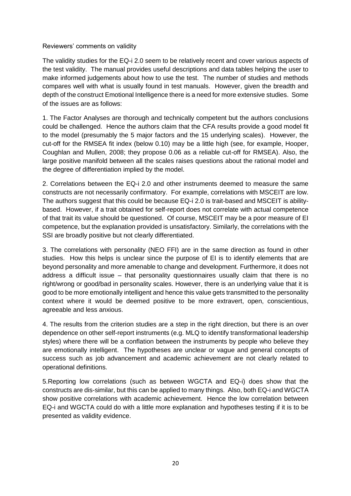## Reviewers' comments on validity

The validity studies for the EQ-i 2.0 seem to be relatively recent and cover various aspects of the test validity. The manual provides useful descriptions and data tables helping the user to make informed judgements about how to use the test. The number of studies and methods compares well with what is usually found in test manuals. However, given the breadth and depth of the construct Emotional Intelligence there is a need for more extensive studies. Some of the issues are as follows:

1. The Factor Analyses are thorough and technically competent but the authors conclusions could be challenged. Hence the authors claim that the CFA results provide a good model fit to the model (presumably the 5 major factors and the 15 underlying scales). However, the cut-off for the RMSEA fit index (below 0.10) may be a little high (see, for example, Hooper, Coughlan and Mullen, 2008; they propose 0.06 as a reliable cut-off for RMSEA). Also, the large positive manifold between all the scales raises questions about the rational model and the degree of differentiation implied by the model.

2. Correlations between the EQ-i 2.0 and other instruments deemed to measure the same constructs are not necessarily confirmatory. For example, correlations with MSCEIT are low. The authors suggest that this could be because EQ-i 2.0 is trait-based and MSCEIT is abilitybased. However, if a trait obtained for self-report does not correlate with actual competence of that trait its value should be questioned. Of course, MSCEIT may be a poor measure of EI competence, but the explanation provided is unsatisfactory. Similarly, the correlations with the SSI are broadly positive but not clearly differentiated.

3. The correlations with personality (NEO FFI) are in the same direction as found in other studies. How this helps is unclear since the purpose of EI is to identify elements that are beyond personality and more amenable to change and development. Furthermore, it does not address a difficult issue – that personality questionnaires usually claim that there is no right/wrong or good/bad in personality scales. However, there is an underlying value that it is good to be more emotionally intelligent and hence this value gets transmitted to the personality context where it would be deemed positive to be more extravert, open, conscientious, agreeable and less anxious.

4. The results from the criterion studies are a step in the right direction, but there is an over dependence on other self-report instruments (e.g. MLQ to identify transformational leadership styles) where there will be a conflation between the instruments by people who believe they are emotionally intelligent. The hypotheses are unclear or vague and general concepts of success such as job advancement and academic achievement are not clearly related to operational definitions.

5.Reporting low correlations (such as between WGCTA and EQ-i) does show that the constructs are dis-similar, but this can be applied to many things. Also, both EQ-i and WGCTA show positive correlations with academic achievement. Hence the low correlation between EQ-i and WGCTA could do with a little more explanation and hypotheses testing if it is to be presented as validity evidence.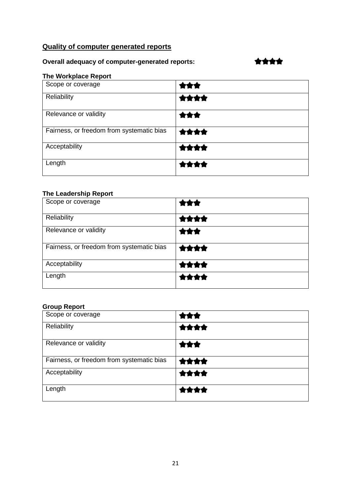# **Quality of computer generated reports**

## **Overall adequacy of computer-generated reports:**

# 含含含含

# **The Workplace Report**

| Scope or coverage                         |      |
|-------------------------------------------|------|
| Reliability                               | ★★★★ |
| Relevance or validity                     | ***  |
| Fairness, or freedom from systematic bias | 含含含含 |
| Acceptability                             | **** |
| Length                                    | 含食食食 |

## **The Leadership Report**

| Scope or coverage                         |      |
|-------------------------------------------|------|
| Reliability                               | ★★★★ |
| Relevance or validity                     | ***  |
| Fairness, or freedom from systematic bias | **** |
| Acceptability                             | **** |
| Length                                    | **** |

## **Group Report**

| Scope or coverage                         | rax  |
|-------------------------------------------|------|
| Reliability                               | 含含含含 |
| Relevance or validity                     | ★★★  |
| Fairness, or freedom from systematic bias | 含含含含 |
| Acceptability                             | **** |
| Length                                    | **** |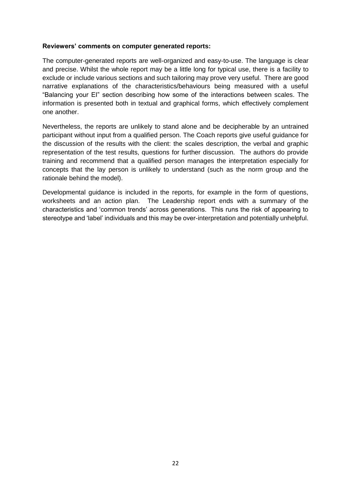#### **Reviewers' comments on computer generated reports:**

The computer-generated reports are well-organized and easy-to-use. The language is clear and precise. Whilst the whole report may be a little long for typical use, there is a facility to exclude or include various sections and such tailoring may prove very useful. There are good narrative explanations of the characteristics/behaviours being measured with a useful "Balancing your EI" section describing how some of the interactions between scales. The information is presented both in textual and graphical forms, which effectively complement one another.

Nevertheless, the reports are unlikely to stand alone and be decipherable by an untrained participant without input from a qualified person. The Coach reports give useful guidance for the discussion of the results with the client: the scales description, the verbal and graphic representation of the test results, questions for further discussion. The authors do provide training and recommend that a qualified person manages the interpretation especially for concepts that the lay person is unlikely to understand (such as the norm group and the rationale behind the model).

Developmental guidance is included in the reports, for example in the form of questions, worksheets and an action plan. The Leadership report ends with a summary of the characteristics and 'common trends' across generations. This runs the risk of appearing to stereotype and 'label' individuals and this may be over-interpretation and potentially unhelpful.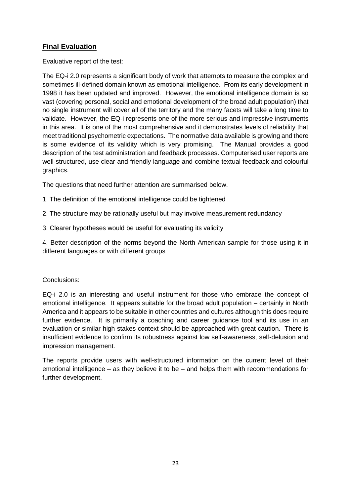## **Final Evaluation**

Evaluative report of the test:

The EQ-i 2.0 represents a significant body of work that attempts to measure the complex and sometimes ill-defined domain known as emotional intelligence. From its early development in 1998 it has been updated and improved. However, the emotional intelligence domain is so vast (covering personal, social and emotional development of the broad adult population) that no single instrument will cover all of the territory and the many facets will take a long time to validate. However, the EQ-i represents one of the more serious and impressive instruments in this area. It is one of the most comprehensive and it demonstrates levels of reliability that meet traditional psychometric expectations. The normative data available is growing and there is some evidence of its validity which is very promising. The Manual provides a good description of the test administration and feedback processes. Computerised user reports are well-structured, use clear and friendly language and combine textual feedback and colourful graphics.

The questions that need further attention are summarised below.

- 1. The definition of the emotional intelligence could be tightened
- 2. The structure may be rationally useful but may involve measurement redundancy
- 3. Clearer hypotheses would be useful for evaluating its validity

4. Better description of the norms beyond the North American sample for those using it in different languages or with different groups

## Conclusions:

EQ-i 2.0 is an interesting and useful instrument for those who embrace the concept of emotional intelligence. It appears suitable for the broad adult population – certainly in North America and it appears to be suitable in other countries and cultures although this does require further evidence. It is primarily a coaching and career guidance tool and its use in an evaluation or similar high stakes context should be approached with great caution. There is insufficient evidence to confirm its robustness against low self-awareness, self-delusion and impression management.

The reports provide users with well-structured information on the current level of their emotional intelligence – as they believe it to be – and helps them with recommendations for further development.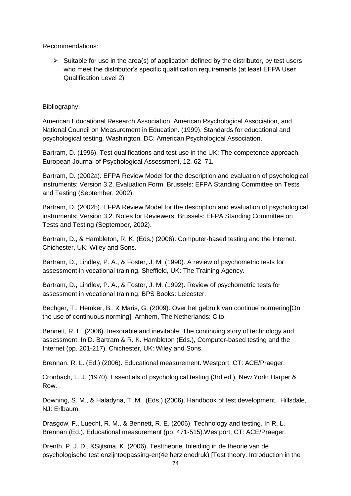Recommendations:

 $\triangleright$  Suitable for use in the area(s) of application defined by the distributor, by test users who meet the distributor's specific qualification requirements (at least EFPA User Qualification Level 2)

## Bibliography:

American Educational Research Association, American Psychological Association, and National Council on Measurement in Education. (1999). Standards for educational and psychological testing. Washington, DC: American Psychological Association.

Bartram, D. (1996). Test qualifications and test use in the UK: The competence approach. European Journal of Psychological Assessment, 12, 62–71.

Bartram, D. (2002a). EFPA Review Model for the description and evaluation of psychological instruments: Version 3.2. Evaluation Form. Brussels: EFPA Standing Committee on Tests and Testing (September, 2002).

Bartram, D. (2002b). EFPA Review Model for the description and evaluation of psychological instruments: Version 3.2. Notes for Reviewers. Brussels: EFPA Standing Committee on Tests and Testing (September, 2002).

Bartram, D., & Hambleton, R. K. (Eds.) (2006). Computer-based testing and the Internet. Chichester, UK: Wiley and Sons.

Bartram, D., Lindley, P. A., & Foster, J. M. (1990). A review of psychometric tests for assessment in vocational training. Sheffield, UK: The Training Agency.

Bartram, D., Lindley, P. A., & Foster, J. M. (1992). Review of psychometric tests for assessment in vocational training. BPS Books: Leicester.

Bechger, T., Hemker, B., & Maris, G. (2009). Over het gebruik van continue normering[On the use of continuous norming]. Arnhem, The Netherlands: Cito.

Bennett, R. E. (2006). Inexorable and inevitable: The continuing story of technology and assessment. In D. Bartram & R. K. Hambleton (Eds.), Computer-based testing and the Internet (pp. 201-217). Chichester, UK: Wiley and Sons.

Brennan, R. L. (Ed.) (2006). Educational measurement. Westport, CT: ACE/Praeger.

Cronbach, L. J. (1970). Essentials of psychological testing (3rd ed.). New York: Harper & Row.

Downing, S. M., & Haladyna, T. M. (Eds.) (2006). Handbook of test development. Hillsdale, NJ: Erlbaum.

Drasgow, F., Luecht, R. M., & Bennett, R. E. (2006). Technology and testing. In R. L. Brennan (Ed.), Educational measurement (pp. 471-515).Westport, CT: ACE/Praeger.

Drenth, P. J. D., &Sijtsma, K. (2006). Testtheorie. Inleiding in de theorie van de psychologische test enzijntoepassing-en(4e herzienedruk) [Test theory. Introduction in the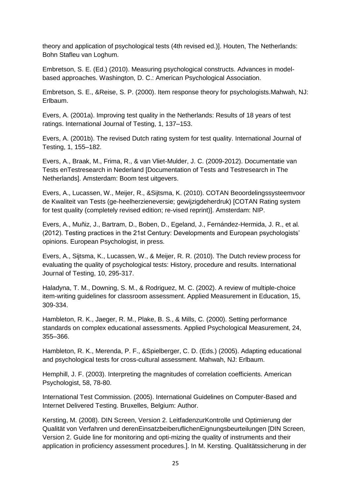theory and application of psychological tests (4th revised ed.)]. Houten, The Netherlands: Bohn Stafleu van Loghum.

Embretson, S. E. (Ed.) (2010). Measuring psychological constructs. Advances in modelbased approaches. Washington, D. C.: American Psychological Association.

Embretson, S. E., &Reise, S. P. (2000). Item response theory for psychologists.Mahwah, NJ: Erlbaum.

Evers, A. (2001a). Improving test quality in the Netherlands: Results of 18 years of test ratings. International Journal of Testing, 1, 137–153.

Evers, A. (2001b). The revised Dutch rating system for test quality. International Journal of Testing, 1, 155–182.

Evers, A., Braak, M., Frima, R., & van Vliet-Mulder, J. C. (2009-2012). Documentatie van Tests enTestresearch in Nederland [Documentation of Tests and Testresearch in The Netherlands]. Amsterdam: Boom test uitgevers.

Evers, A., Lucassen, W., Meijer, R., &Sijtsma, K. (2010). COTAN Beoordelingssysteemvoor de Kwaliteit van Tests (ge-heelherzieneversie; gewijzigdeherdruk) [COTAN Rating system for test quality (completely revised edition; re-vised reprint)]. Amsterdam: NIP.

Evers, A., Muñiz, J., Bartram, D., Boben, D., Egeland, J., Fernández-Hermida, J. R., et al. (2012). Testing practices in the 21st Century: Developments and European psychologists' opinions. European Psychologist, in press.

Evers, A., Sijtsma, K., Lucassen, W., & Meijer, R. R. (2010). The Dutch review process for evaluating the quality of psychological tests: History, procedure and results. International Journal of Testing, 10, 295-317.

Haladyna, T. M., Downing, S. M., & Rodriguez, M. C. (2002). A review of multiple-choice item-writing guidelines for classroom assessment. Applied Measurement in Education, 15, 309-334.

Hambleton, R. K., Jaeger, R. M., Plake, B. S., & Mills, C. (2000). Setting performance standards on complex educational assessments. Applied Psychological Measurement, 24, 355–366.

Hambleton, R. K., Merenda, P. F., &Spielberger, C. D. (Eds.) (2005). Adapting educational and psychological tests for cross-cultural assessment. Mahwah, NJ: Erlbaum.

Hemphill, J. F. (2003). Interpreting the magnitudes of correlation coefficients. American Psychologist, 58, 78-80.

International Test Commission. (2005). International Guidelines on Computer-Based and Internet Delivered Testing. Bruxelles, Belgium: Author.

Kersting, M. (2008). DIN Screen, Version 2. LeitfadenzurKontrolle und Optimierung der Qualität von Verfahren und derenEinsatzbeiberuflichenEignungsbeurteilungen [DIN Screen, Version 2. Guide line for monitoring and opti-mizing the quality of instruments and their application in proficiency assessment procedures.]. In M. Kersting. Qualitätssicherung in der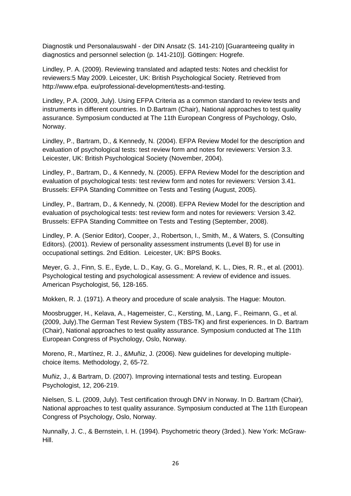Diagnostik und Personalauswahl - der DIN Ansatz (S. 141-210) [Guaranteeing quality in diagnostics and personnel selection (p. 141-210)]. Göttingen: Hogrefe.

Lindley, P. A. (2009). Reviewing translated and adapted tests: Notes and checklist for reviewers:5 May 2009. Leicester, UK: British Psychological Society. Retrieved from http://www.efpa. eu/professional-development/tests-and-testing.

Lindley, P.A. (2009, July). Using EFPA Criteria as a common standard to review tests and instruments in different countries. In D.Bartram (Chair), National approaches to test quality assurance. Symposium conducted at The 11th European Congress of Psychology, Oslo, Norway.

Lindley, P., Bartram, D., & Kennedy, N. (2004). EFPA Review Model for the description and evaluation of psychological tests: test review form and notes for reviewers: Version 3.3. Leicester, UK: British Psychological Society (November, 2004).

Lindley, P., Bartram, D., & Kennedy, N. (2005). EFPA Review Model for the description and evaluation of psychological tests: test review form and notes for reviewers: Version 3.41. Brussels: EFPA Standing Committee on Tests and Testing (August, 2005).

Lindley, P., Bartram, D., & Kennedy, N. (2008). EFPA Review Model for the description and evaluation of psychological tests: test review form and notes for reviewers: Version 3.42. Brussels: EFPA Standing Committee on Tests and Testing (September, 2008).

Lindley, P. A. (Senior Editor), Cooper, J., Robertson, I., Smith, M., & Waters, S. (Consulting Editors). (2001). Review of personality assessment instruments (Level B) for use in occupational settings. 2nd Edition. Leicester, UK: BPS Books.

Meyer, G. J., Finn, S. E., Eyde, L. D., Kay, G. G., Moreland, K. L., Dies, R. R., et al. (2001). Psychological testing and psychological assessment: A review of evidence and issues. American Psychologist, 56, 128-165.

Mokken, R. J. (1971). A theory and procedure of scale analysis. The Hague: Mouton.

Moosbrugger, H., Kelava, A., Hagemeister, C., Kersting, M., Lang, F., Reimann, G., et al. (2009, July).The German Test Review System (TBS-TK) and first experiences. In D. Bartram (Chair), National approaches to test quality assurance. Symposium conducted at The 11th European Congress of Psychology, Oslo, Norway.

Moreno, R., Martínez, R. J., &Muñiz, J. (2006). New guidelines for developing multiplechoice ítems. Methodology, 2, 65-72.

Muñiz, J., & Bartram, D. (2007). Improving international tests and testing. European Psychologist, 12, 206-219.

Nielsen, S. L. (2009, July). Test certification through DNV in Norway. In D. Bartram (Chair), National approaches to test quality assurance. Symposium conducted at The 11th European Congress of Psychology, Oslo, Norway.

Nunnally, J. C., & Bernstein, I. H. (1994). Psychometric theory (3rded.). New York: McGraw-Hill.